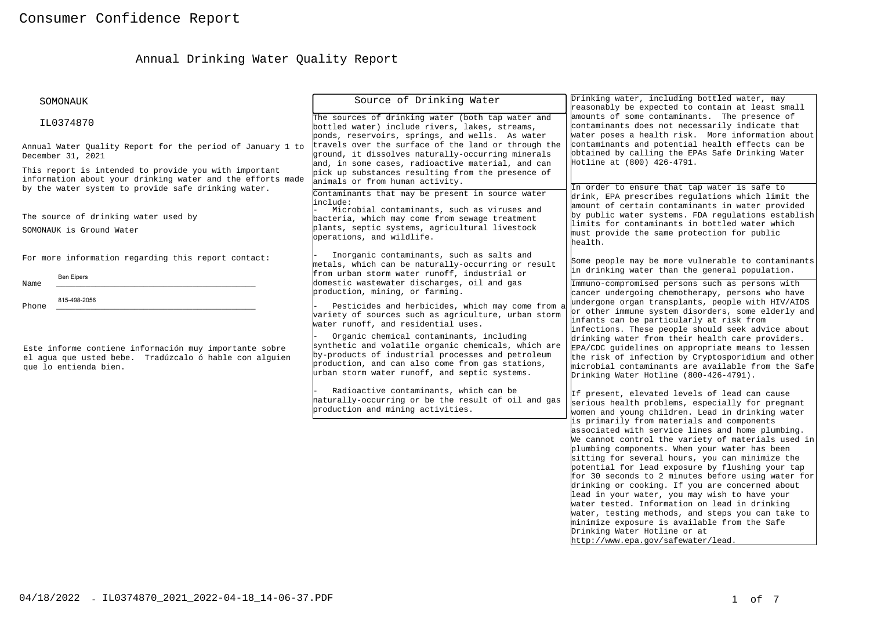# Annual Drinking Water Quality Report

| SOMONAUK                                                                                                                                                                   | Source of Drinking Water                                                                                                                                                                                                                                                                         | Drinking water, including bottled water, may                                                                                                                                                                                                                                                                                                                                                                                                                                                                                                                                                                                    |
|----------------------------------------------------------------------------------------------------------------------------------------------------------------------------|--------------------------------------------------------------------------------------------------------------------------------------------------------------------------------------------------------------------------------------------------------------------------------------------------|---------------------------------------------------------------------------------------------------------------------------------------------------------------------------------------------------------------------------------------------------------------------------------------------------------------------------------------------------------------------------------------------------------------------------------------------------------------------------------------------------------------------------------------------------------------------------------------------------------------------------------|
| IL0374870                                                                                                                                                                  | The sources of drinking water (both tap water and<br>bottled water) include rivers, lakes, streams,<br>ponds, reservoirs, springs, and wells. As water                                                                                                                                           | reasonably be expected to contain at least small<br>amounts of some contaminants. The presence of<br>contaminants does not necessarily indicate that<br>water poses a health risk. More information about                                                                                                                                                                                                                                                                                                                                                                                                                       |
| Annual Water Quality Report for the period of January 1 to<br>December 31, 2021                                                                                            | travels over the surface of the land or through the<br>ground, it dissolves naturally-occurring minerals<br>and, in some cases, radioactive material, and can                                                                                                                                    | contaminants and potential health effects can be<br>obtained by calling the EPAs Safe Drinking Water<br>Hotline at (800) 426-4791.                                                                                                                                                                                                                                                                                                                                                                                                                                                                                              |
| This report is intended to provide you with important<br>information about your drinking water and the efforts made<br>by the water system to provide safe drinking water. | pick up substances resulting from the presence of<br>animals or from human activity.                                                                                                                                                                                                             | In order to ensure that tap water is safe to                                                                                                                                                                                                                                                                                                                                                                                                                                                                                                                                                                                    |
| The source of drinking water used by<br>SOMONAUK is Ground Water                                                                                                           | Contaminants that may be present in source water<br>include:<br>Microbial contaminants, such as viruses and<br>bacteria, which may come from sewage treatment<br>plants, septic systems, agricultural livestock<br>operations, and wildlife.                                                     | drink, EPA prescribes regulations which limit the<br>amount of certain contaminants in water provided<br>by public water systems. FDA regulations establish<br>limits for contaminants in bottled water which<br>must provide the same protection for public<br>health.                                                                                                                                                                                                                                                                                                                                                         |
| For more information regarding this report contact:<br><b>Ben Eipers</b>                                                                                                   | Inorganic contaminants, such as salts and<br>metals, which can be naturally-occurring or result<br>from urban storm water runoff, industrial or                                                                                                                                                  | Some people may be more vulnerable to contaminants<br>in drinking water than the general population.                                                                                                                                                                                                                                                                                                                                                                                                                                                                                                                            |
| Name<br>815-498-2056<br>Phone                                                                                                                                              | domestic wastewater discharges, oil and gas<br>production, mining, or farming.<br>Pesticides and herbicides, which may come from a<br>variety of sources such as agriculture, urban storm                                                                                                        | Immuno-compromised persons such as persons with<br>cancer undergoing chemotherapy, persons who have<br>undergone organ transplants, people with HIV/AIDS<br>or other immune system disorders, some elderly and<br>infants can be particularly at risk from                                                                                                                                                                                                                                                                                                                                                                      |
| Este informe contiene información muy importante sobre<br>el agua que usted bebe. Tradúzcalo ó hable con alguien<br>que lo entienda bien.                                  | water runoff, and residential uses.<br>Organic chemical contaminants, including<br>synthetic and volatile organic chemicals, which are<br>by-products of industrial processes and petroleum<br>production, and can also come from gas stations,<br>urban storm water runoff, and septic systems. | infections. These people should seek advice about<br>drinking water from their health care providers.<br>EPA/CDC guidelines on appropriate means to lessen<br>the risk of infection by Cryptosporidium and other<br>microbial contaminants are available from the Safe<br>Drinking Water Hotline (800-426-4791).                                                                                                                                                                                                                                                                                                                |
|                                                                                                                                                                            | Radioactive contaminants, which can be<br>haturally-occurring or be the result of oil and gas<br>production and mining activities.                                                                                                                                                               | If present, elevated levels of lead can cause<br>serious health problems, especially for pregnant<br>women and young children. Lead in drinking water<br>is primarily from materials and components<br>associated with service lines and home plumbing.<br>We cannot control the variety of materials used in<br>plumbing components. When your water has been<br>sitting for several hours, you can minimize the<br>potential for lead exposure by flushing your tap<br>for 30 seconds to 2 minutes before using water for<br>drinking or cooking. If you are concerned about<br>lead in your water, you may wish to have your |
|                                                                                                                                                                            |                                                                                                                                                                                                                                                                                                  | water tested. Information on lead in drinking<br>water, testing methods, and steps you can take to<br>minimize exposure is available from the Safe<br>Drinking Water Hotline or at<br>http://www.epa.gov/safewater/lead.                                                                                                                                                                                                                                                                                                                                                                                                        |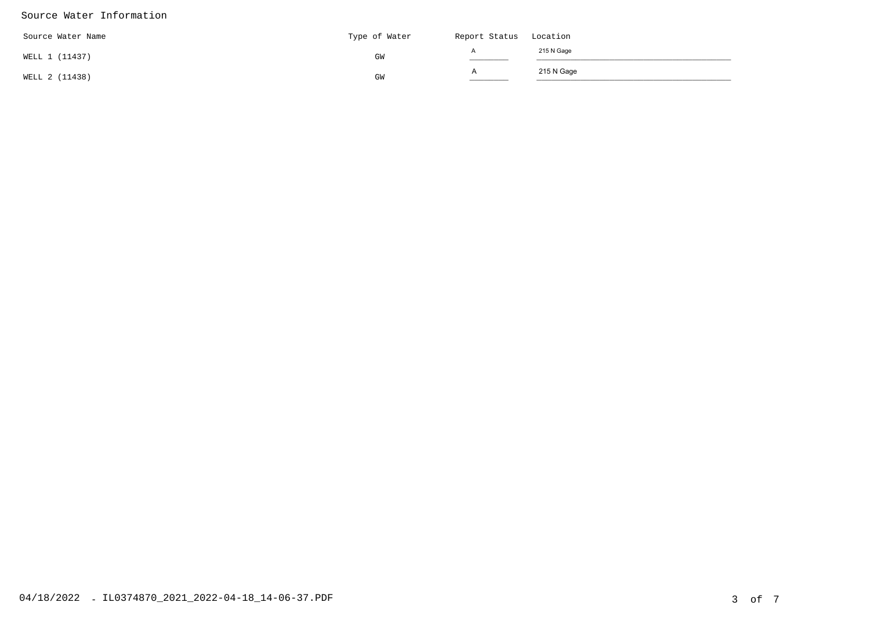#### Source Water Information

| Source Water Name | Type of Water | Report Status Location |            |
|-------------------|---------------|------------------------|------------|
| WELL 1 (11437)    | GM            |                        | 215 N Gage |
| WELL 2 (11438)    | GM            | $\overline{A}$         | 215 N Gage |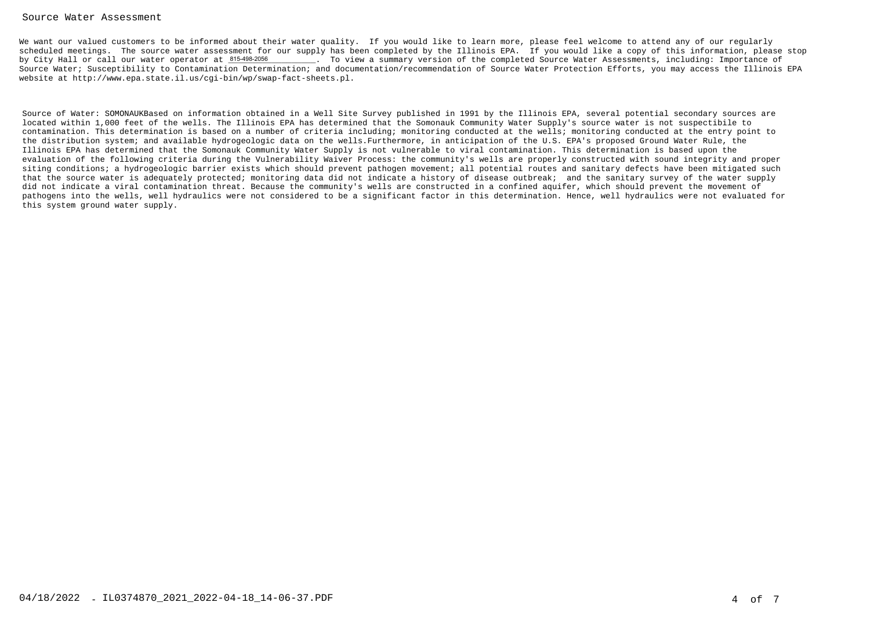#### Source Water Assessment

We want our valued customers to be informed about their water quality. If you would like to learn more, please feel welcome to attend any of our regularly scheduled meetings. The source water assessment for our supply has been completed by the Illinois EPA. If you would like a copy of this information, please stop. To view a summary version of the completed Source Water Assessments, including: Importance of Source Water; Susceptibility to Contamination Determination; and documentation/recommendation of Source Water Protection Efforts, you may access the Illinois EPAwebsite at http://www.epa.state.il.us/cgi-bin/wp/swap-fact-sheets.pl.by City Hall or call our water operator at 815-498-2056

Source of Water: SOMONAUKBased on information obtained in a Well Site Survey published in 1991 by the Illinois EPA, several potential secondary sources arelocated within 1,000 feet of the wells. The Illinois EPA has determined that the Somonauk Community Water Supply's source water is not suspectibile to contamination. This determination is based on a number of criteria including; monitoring conducted at the wells; monitoring conducted at the entry point tothe distribution system; and available hydrogeologic data on the wells.Furthermore, in anticipation of the U.S. EPA's proposed Ground Water Rule, theIllinois EPA has determined that the Somonauk Community Water Supply is not vulnerable to viral contamination. This determination is based upon the evaluation of the following criteria during the Vulnerability Waiver Process: the community's wells are properly constructed with sound integrity and proper siting conditions; a hydrogeologic barrier exists which should prevent pathogen movement; all potential routes and sanitary defects have been mitigated such that the source water is adequately protected; monitoring data did not indicate a history of disease outbreak; and the sanitary survey of the water supplydid not indicate a viral contamination threat. Because the community's wells are constructed in a confined aquifer, which should prevent the movement of pathogens into the wells, well hydraulics were not considered to be a significant factor in this determination. Hence, well hydraulics were not evaluated forthis system ground water supply.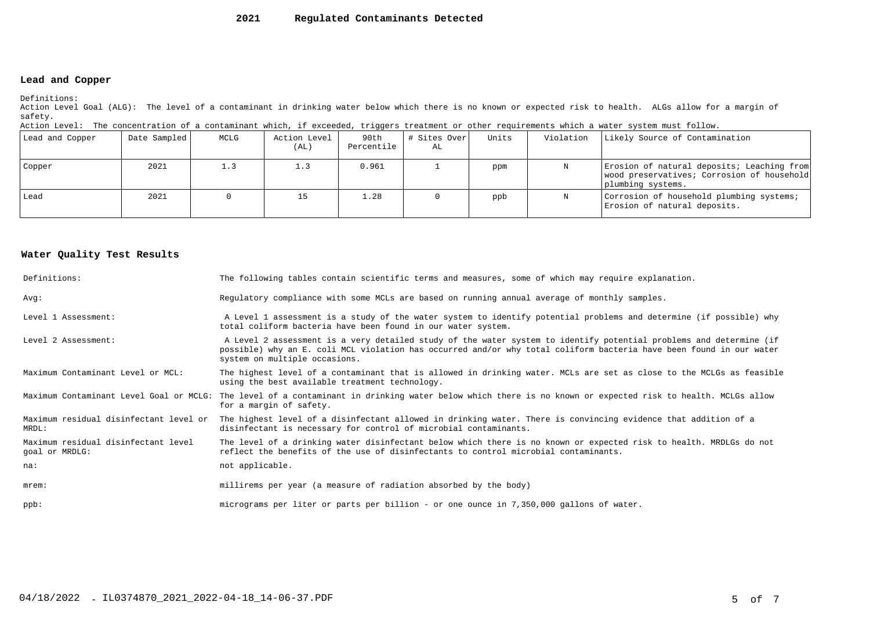#### **2021Regulated Contaminants Detected**

### **Lead and Copper**

Definitions:

 Action Level Goal (ALG): The level of a contaminant in drinking water below which there is no known or expected risk to health. ALGs allow for a margin ofsafety.

| Action Level: The concentration of a contaminant which, if exceeded, triggers treatment or other requirements which a water system must follow. |  |  |  |
|-------------------------------------------------------------------------------------------------------------------------------------------------|--|--|--|
|                                                                                                                                                 |  |  |  |

| Lead and Copper | Date Sampled | MCLG | Action Level<br>(AL) | 90th<br>Percentile | # Sites Over <br>AL | Units | Violation | Likely Source of Contamination                                                                                |
|-----------------|--------------|------|----------------------|--------------------|---------------------|-------|-----------|---------------------------------------------------------------------------------------------------------------|
| Copper          | 2021         |      |                      | 0.961              |                     | ppm   |           | Erosion of natural deposits; Leaching from<br>wood preservatives; Corrosion of household<br>plumbing systems. |
| Lead            | 2021         |      |                      | 1.28               |                     | ppb   | N         | Corrosion of household plumbing systems;<br>Erosion of natural deposits.                                      |

#### **Water Quality Test Results**

| Definitions:                                          | The following tables contain scientific terms and measures, some of which may require explanation.                                                                                                                                                                         |
|-------------------------------------------------------|----------------------------------------------------------------------------------------------------------------------------------------------------------------------------------------------------------------------------------------------------------------------------|
| Avq:                                                  | Regulatory compliance with some MCLs are based on running annual average of monthly samples.                                                                                                                                                                               |
| Level 1 Assessment:                                   | A Level 1 assessment is a study of the water system to identify potential problems and determine (if possible) why<br>total coliform bacteria have been found in our water system.                                                                                         |
| Level 2 Assessment:                                   | A Level 2 assessment is a very detailed study of the water system to identify potential problems and determine (if<br>possible) why an E. coli MCL violation has occurred and/or why total coliform bacteria have been found in our water<br>system on multiple occasions. |
| Maximum Contaminant Level or MCL:                     | The highest level of a contaminant that is allowed in drinking water. MCLs are set as close to the MCLGs as feasible<br>using the best available treatment technology.                                                                                                     |
|                                                       | Maximum Contaminant Level Goal or MCLG: The level of a contaminant in drinking water below which there is no known or expected risk to health. MCLGs allow<br>for a margin of safety.                                                                                      |
| Maximum residual disinfectant level or<br>MRDL:       | The highest level of a disinfectant allowed in drinking water. There is convincing evidence that addition of a<br>disinfectant is necessary for control of microbial contaminants.                                                                                         |
| Maximum residual disinfectant level<br>goal or MRDLG: | The level of a drinking water disinfectant below which there is no known or expected risk to health. MRDLGs do not<br>reflect the benefits of the use of disinfectants to control microbial contaminants.                                                                  |
| na:                                                   | not applicable.                                                                                                                                                                                                                                                            |
| $m$ rem:                                              | millirems per year (a measure of radiation absorbed by the body)                                                                                                                                                                                                           |
| $ppb$ :                                               | micrograms per liter or parts per billion - or one ounce in 7,350,000 gallons of water.                                                                                                                                                                                    |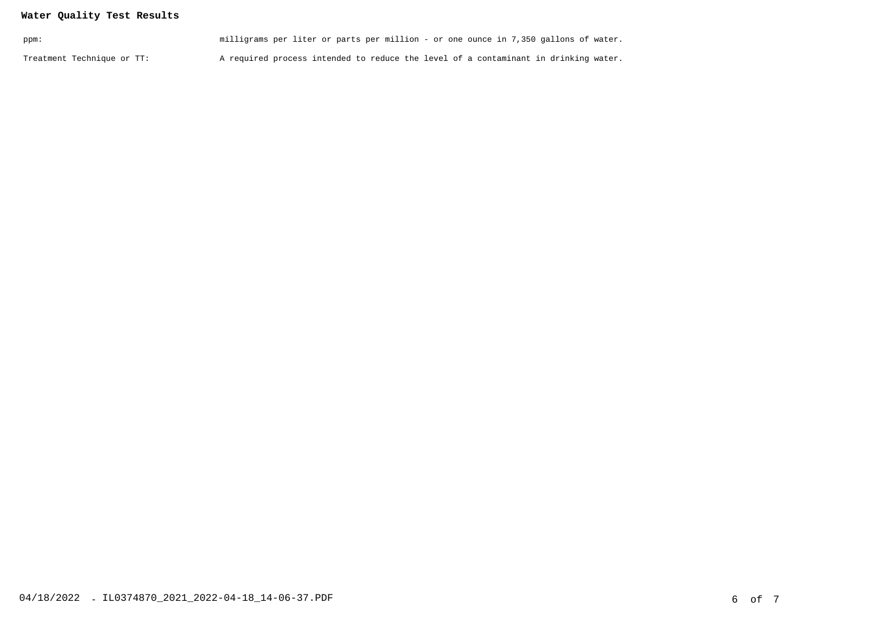## **Water Quality Test Results**

| ppm:                       | milligrams per liter or parts per million - or one ounce in 7,350 gallons of water. |  |
|----------------------------|-------------------------------------------------------------------------------------|--|
| Treatment Technique or TT: | A required process intended to reduce the level of a contaminant in drinking water. |  |